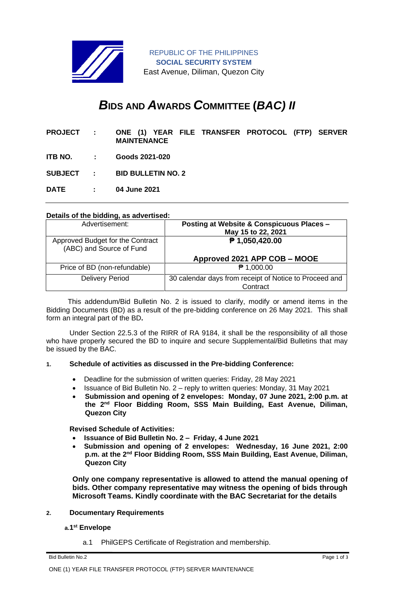

REPUBLIC OF THE PHILIPPINES **SOCIAL SECURITY SYSTEM** East Avenue, Diliman, Quezon City

# *B***IDS AND** *A***WARDS** *C***OMMITTEE (***BAC) II*

| <b>PROJECT:</b>  |             | ONE (1) YEAR FILE TRANSFER PROTOCOL (FTP) SERVER<br><b>MAINTENANCE</b> |  |
|------------------|-------------|------------------------------------------------------------------------|--|
| ITB NO. :        |             | Goods 2021-020                                                         |  |
| <b>SUBJECT :</b> |             | <b>BID BULLETIN NO. 2</b>                                              |  |
| <b>DATE</b>      | $\sim 1000$ | 04 June 2021                                                           |  |

### **Details of the bidding, as advertised:**

| Advertisement:                                               | Posting at Website & Conspicuous Places -<br>May 15 to 22, 2021    |
|--------------------------------------------------------------|--------------------------------------------------------------------|
| Approved Budget for the Contract<br>(ABC) and Source of Fund | ₱ 1,050,420.00                                                     |
|                                                              | Approved 2021 APP COB - MOOE                                       |
| Price of BD (non-refundable)                                 | $P$ 1,000.00                                                       |
| <b>Delivery Period</b>                                       | 30 calendar days from receipt of Notice to Proceed and<br>Contract |

 This addendum/Bid Bulletin No. 2 is issued to clarify, modify or amend items in the Bidding Documents (BD) as a result of the pre-bidding conference on 26 May 2021. This shall form an integral part of the BD**.**

Under Section 22.5.3 of the RIRR of RA 9184, it shall be the responsibility of all those who have properly secured the BD to inquire and secure Supplemental/Bid Bulletins that may be issued by the BAC.

#### **1. Schedule of activities as discussed in the Pre-bidding Conference:**

- Deadline for the submission of written queries: Friday, 28 May 2021
- Issuance of Bid Bulletin No. 2 reply to written queries: Monday, 31 May 2021
- **Submission and opening of 2 envelopes: Monday, 07 June 2021, 2:00 p.m. at the 2nd Floor Bidding Room, SSS Main Building, East Avenue, Diliman, Quezon City**

**Revised Schedule of Activities:**

- **Issuance of Bid Bulletin No. 2 Friday, 4 June 2021**
- **Submission and opening of 2 envelopes: Wednesday, 16 June 2021, 2:00 p.m. at the 2nd Floor Bidding Room, SSS Main Building, East Avenue, Diliman, Quezon City**

**Only one company representative is allowed to attend the manual opening of bids. Other company representative may witness the opening of bids through Microsoft Teams. Kindly coordinate with the BAC Secretariat for the details**

#### **2. Documentary Requirements**

#### **a.1 st Envelope**

a.1 PhilGEPS Certificate of Registration and membership.

Bid Bulletin No.2 Page 1 of 3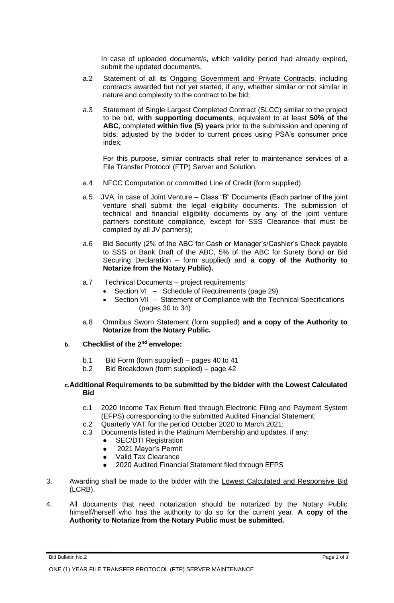In case of uploaded document/s, which validity period had already expired, submit the updated document/s.

- a.2 Statement of all its Ongoing Government and Private Contracts, including contracts awarded but not yet started, if any, whether similar or not similar in nature and complexity to the contract to be bid;
- a.3 Statement of Single Largest Completed Contract (SLCC) similar to the project to be bid, **with supporting documents**, equivalent to at least **50% of the ABC**, completed **within five (5) years** prior to the submission and opening of bids, adjusted by the bidder to current prices using PSA's consumer price index;

For this purpose, similar contracts shall refer to maintenance services of a File Transfer Protocol (FTP) Server and Solution.

- a.4 NFCC Computation or committed Line of Credit (form supplied)
- a.5 JVA, in case of Joint Venture Class "B" Documents (Each partner of the joint venture shall submit the legal eligibility documents. The submission of technical and financial eligibility documents by any of the joint venture partners constitute compliance, except for SSS Clearance that must be complied by all JV partners);
- a.6 Bid Security (2% of the ABC for Cash or Manager's/Cashier's Check payable to SSS or Bank Draft of the ABC, 5% of the ABC for Surety Bond **or** Bid Securing Declaration – form supplied) and **a copy of the Authority to Notarize from the Notary Public).**
- a.7 Technical Documents project requirements
	- Section VI Schedule of Requirements (page 29)
	- Section VII Statement of Compliance with the Technical Specifications (pages 30 to 34)
- a.8 Omnibus Sworn Statement (form supplied) **and a copy of the Authority to Notarize from the Notary Public.**

## **b. Checklist of the 2nd envelope:**

- b.1 Bid Form (form supplied) pages 40 to 41
- b.2 Bid Breakdown (form supplied) page 42

#### **c.Additional Requirements to be submitted by the bidder with the Lowest Calculated Bid**

- c.1 2020 Income Tax Return filed through Electronic Filing and Payment System (EFPS) corresponding to the submitted Audited Financial Statement;
- c.2 Quarterly VAT for the period October 2020 to March 2021;
- c.3 Documents listed in the Platinum Membership and updates, if any;
	- **SEC/DTI Registration**
	- 2021 Mayor's Permit
	- ⚫ Valid Tax Clearance
	- ⚫ 2020 Audited Financial Statement filed through EFPS
- 3. Awarding shall be made to the bidder with the Lowest Calculated and Responsive Bid (LCRB).
- 4. All documents that need notarization should be notarized by the Notary Public himself/herself who has the authority to do so for the current year. **A copy of the Authority to Notarize from the Notary Public must be submitted.**

Bid Bulletin No.2 Page 2 of 3